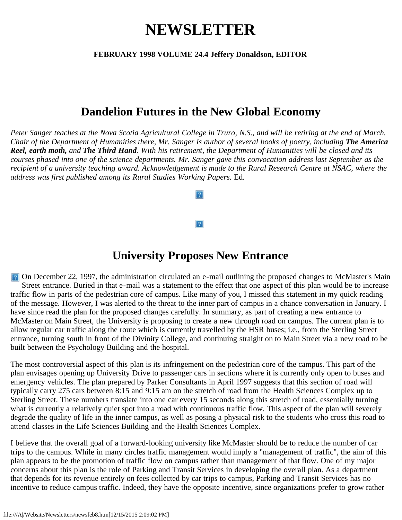# **NEWSLETTER**

#### **FEBRUARY 1998 VOLUME 24.4 Jeffery Donaldson, EDITOR**

### **Dandelion Futures in the New Global Economy**

*Peter Sanger teaches at the Nova Scotia Agricultural College in Truro, N.S., and will be retiring at the end of March. Chair of the Department of Humanities there, Mr. Sanger is author of several books of poetry, including The America Reel, earth moth, and The Third Hand. With his retirement, the Department of Humanities will be closed and its courses phased into one of the science departments. Mr. Sanger gave this convocation address last September as the recipient of a university teaching award. Acknowledgement is made to the Rural Research Centre at NSAC, where the address was first published among its Rural Studies Working Papers.* Ed.

 $\boxed{?}$ 

### **University Proposes New Entrance**

**P.** On December 22, 1997, the administration circulated an e-mail outlining the proposed changes to McMaster's Main Street entrance. Buried in that e-mail was a statement to the effect that one aspect of this plan would be to increase traffic flow in parts of the pedestrian core of campus. Like many of you, I missed this statement in my quick reading of the message. However, I was alerted to the threat to the inner part of campus in a chance conversation in January. I have since read the plan for the proposed changes carefully. In summary, as part of creating a new entrance to McMaster on Main Street, the University is proposing to create a new through road on campus. The current plan is to allow regular car traffic along the route which is currently travelled by the HSR buses; i.e., from the Sterling Street entrance, turning south in front of the Divinity College, and continuing straight on to Main Street via a new road to be built between the Psychology Building and the hospital.

The most controversial aspect of this plan is its infringement on the pedestrian core of the campus. This part of the plan envisages opening up University Drive to passenger cars in sections where it is currently only open to buses and emergency vehicles. The plan prepared by Parker Consultants in April 1997 suggests that this section of road will typically carry 275 cars between 8:15 and 9:15 am on the stretch of road from the Health Sciences Complex up to Sterling Street. These numbers translate into one car every 15 seconds along this stretch of road, essentially turning what is currently a relatively quiet spot into a road with continuous traffic flow. This aspect of the plan will severely degrade the quality of life in the inner campus, as well as posing a physical risk to the students who cross this road to attend classes in the Life Sciences Building and the Health Sciences Complex.

I believe that the overall goal of a forward-looking university like McMaster should be to reduce the number of car trips to the campus. While in many circles traffic management would imply a "management of traffic", the aim of this plan appears to be the promotion of traffic flow on campus rather than management of that flow. One of my major concerns about this plan is the role of Parking and Transit Services in developing the overall plan. As a department that depends for its revenue entirely on fees collected by car trips to campus, Parking and Transit Services has no incentive to reduce campus traffic. Indeed, they have the opposite incentive, since organizations prefer to grow rather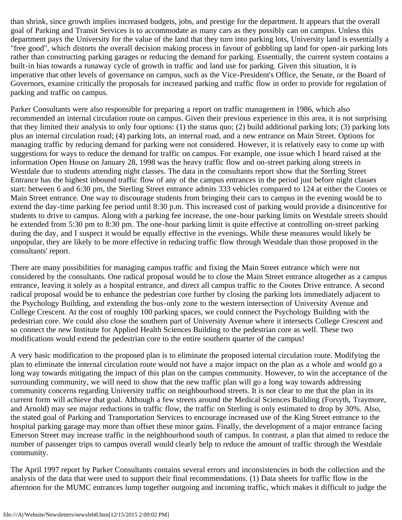than shrink, since growth implies increased budgets, jobs, and prestige for the department. It appears that the overall goal of Parking and Transit Services is to accommodate as many cars as they possibly can on campus. Unless this department pays the University for the value of the land that they turn into parking lots, University land is essentially a "free good", which distorts the overall decision making process in favour of gobbling up land for open-air parking lots rather than constructing parking garages or reducing the demand for parking. Essentially, the current system contains a built-in bias towards a runaway cycle of growth in traffic and land use for parking. Given this situation, it is imperative that other levels of governance on campus, such as the Vice-President's Office, the Senate, or the Board of Governors, examine critically the proposals for increased parking and traffic flow in order to provide for regulation of parking and traffic on campus.

Parker Consultants were also responsible for preparing a report on traffic management in 1986, which also recommended an internal circulation route on campus. Given their previous experience in this area, it is not surprising that they limited their analysis to only four options: (1) the status quo; (2) build additional parking lots; (3) parking lots plus an internal circulation road; (4) parking lots, an internal road, and a new entrance on Main Street. Options for managing traffic by reducing demand for parking were not considered. However, it is relatively easy to come up with suggestions for ways to reduce the demand for traffic on campus. For example, one issue which I heard raised at the information Open House on January 28, 1998 was the heavy traffic flow and on-street parking along streets in Westdale due to students attending night classes. The data in the consultants report show that the Sterling Street Entrance has the highest inbound traffic flow of any of the campus entrances in the period just before night classes start: between 6 and 6:30 pm, the Sterling Street entrance admits 333 vehicles compared to 124 at either the Cootes or Main Street entrance. One way to discourage students from bringing their cars to campus in the evening would be to extend the day-time parking fee period until 8:30 p.m. This increased cost of parking would provide a disincentive for students to drive to campus. Along with a parking fee increase, the one-hour parking limits on Westdale streets should be extended from 5:30 pm to 8:30 pm. The one-hour parking limit is quite effective at controlling on-street parking during the day, and I suspect it would be equally effective in the evenings. While these measures would likely be unpopular, they are likely to be more effective in reducing traffic flow through Westdale than those proposed in the consultants' report.

There are many possibilities for managing campus traffic and fixing the Main Street entrance which were not considered by the consultants. One radical proposal would be to close the Main Street entrance altogether as a campus entrance, leaving it solely as a hospital entrance, and direct all campus traffic to the Cootes Drive entrance. A second radical proposal would be to enhance the pedestrian core further by closing the parking lots immediately adjacent to the Psychology Building, and extending the bus-only zone to the western intersection of University Avenue and College Crescent. At the cost of roughly 100 parking spaces, we could connect the Psychology Building with the pedestrian core. We could also close the southern part of University Avenue where it intersects College Crescent and so connect the new Institute for Applied Health Sciences Building to the pedestrian core as well. These two modifications would extend the pedestrian core to the entire southern quarter of the campus!

A very basic modification to the proposed plan is to eliminate the proposed internal circulation route. Modifying the plan to eliminate the internal circulation route would not have a major impact on the plan as a whole and would go a long way towards mitigating the impact of this plan on the campus community. However, to win the acceptance of the surrounding community, we will need to show that the new traffic plan will go a long way towards addressing community concerns regarding University traffic on neighbourhood streets. It is not clear to me that the plan in its current form will achieve that goal. Although a few streets around the Medical Sciences Building (Forsyth, Traymore, and Arnold) may see major reductions in traffic flow, the traffic on Sterling is only estimated to drop by 30%. Also, the stated goal of Parking and Transportation Services to encourage increased use of the King Street entrance to the hospital parking garage may more than offset these minor gains. Finally, the development of a major entrance facing Emerson Street may increase traffic in the neighbourhood south of campus. In contrast, a plan that aimed to reduce the number of passenger trips to campus overall would clearly help to reduce the amount of traffic through the Westdale community.

The April 1997 report by Parker Consultants contains several errors and inconsistencies in both the collection and the analysis of the data that were used to support their final recommendations. (1) Data sheets for traffic flow in the afternoon for the MUMC entrances lump together outgoing and incoming traffic, which makes it difficult to judge the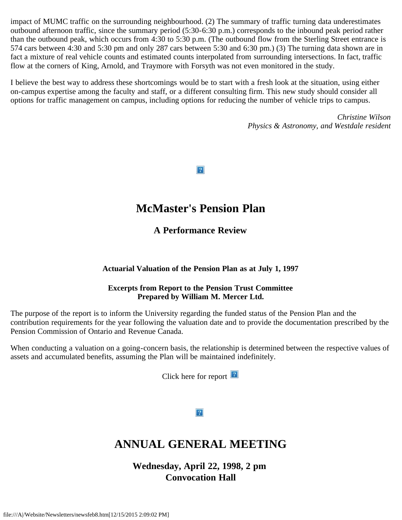impact of MUMC traffic on the surrounding neighbourhood. (2) The summary of traffic turning data underestimates outbound afternoon traffic, since the summary period (5:30-6:30 p.m.) corresponds to the inbound peak period rather than the outbound peak, which occurs from 4:30 to 5:30 p.m. (The outbound flow from the Sterling Street entrance is 574 cars between 4:30 and 5:30 pm and only 287 cars between 5:30 and 6:30 pm.) (3) The turning data shown are in fact a mixture of real vehicle counts and estimated counts interpolated from surrounding intersections. In fact, traffic flow at the corners of King, Arnold, and Traymore with Forsyth was not even monitored in the study.

I believe the best way to address these shortcomings would be to start with a fresh look at the situation, using either on-campus expertise among the faculty and staff, or a different consulting firm. This new study should consider all options for traffic management on campus, including options for reducing the number of vehicle trips to campus.

> *Christine Wilson Physics & Astronomy, and Westdale resident*

 $|2|$ 

### **McMaster's Pension Plan**

**A Performance Review**

#### **Actuarial Valuation of the Pension Plan as at July 1, 1997**

#### **Excerpts from Report to the Pension Trust Committee Prepared by William M. Mercer Ltd.**

The purpose of the report is to inform the University regarding the funded status of the Pension Plan and the contribution requirements for the year following the valuation date and to provide the documentation prescribed by the Pension Commission of Ontario and Revenue Canada.

When conducting a valuation on a going-concern basis, the relationship is determined between the respective values of assets and accumulated benefits, assuming the Plan will be maintained indefinitely.

Click here for report  $\boxed{2}$ 

 $|2|$ 

# **ANNUAL GENERAL MEETING**

**Wednesday, April 22, 1998, 2 pm Convocation Hall**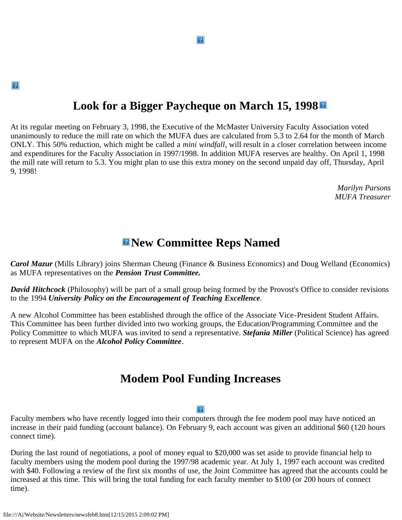# **Look for a Bigger Paycheque on March 15, 1998**

At its regular meeting on February 3, 1998, the Executive of the McMaster University Faculty Association voted unanimously to reduce the mill rate on which the MUFA dues are calculated from 5.3 to 2.64 for the month of March ONLY. This 50% reduction, which might be called a *mini windfall*, will result in a closer correlation between income and expenditures for the Faculty Association in 1997/1998. In addition MUFA reserves are healthy. On April 1, 1998 the mill rate will return to 5.3. You might plan to use this extra money on the second unpaid day off, Thursday, April 9, 1998!

> *Marilyn Parsons MUFA Treasurer*

### **New Committee Reps Named**

*Carol Mazur* (Mills Library) joins Sherman Cheung (Finance & Business Economics) and Doug Welland (Economics) as MUFA representatives on the *Pension Trust Committee.*

*David Hitchcock* (Philosophy) will be part of a small group being formed by the Provost's Office to consider revisions to the 1994 *University Policy on the Encouragement of Teaching Excellence*.

A new Alcohol Committee has been established through the office of the Associate Vice-President Student Affairs. This Committee has been further divided into two working groups, the Education/Programming Committee and the Policy Committee to which MUFA was invited to send a representative. *Stefania Miller* (Political Science) has agreed to represent MUFA on the *Alcohol Policy Committee*.

### **Modem Pool Funding Increases**

#### $\lceil 2 \rceil$

Faculty members who have recently logged into their computers through the fee modem pool may have noticed an increase in their paid funding (account balance). On February 9, each account was given an additional \$60 (120 hours connect time).

During the last round of negotiations, a pool of money equal to \$20,000 was set aside to provide financial help to faculty members using the modem pool during the 1997/98 academic year. At July 1, 1997 each account was credited with \$40. Following a review of the first six months of use, the Joint Committee has agreed that the accounts could be increased at this time. This will bring the total funding for each faculty member to \$100 (or 200 hours of connect time).

 $|2|$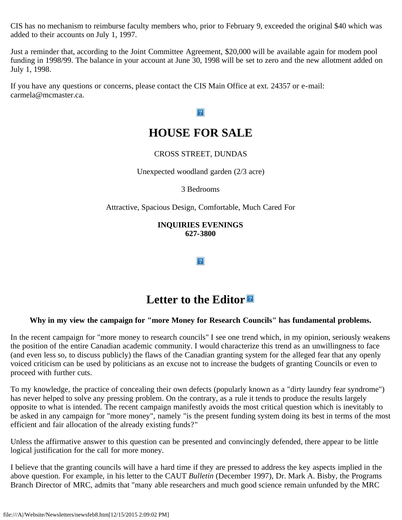CIS has no mechanism to reimburse faculty members who, prior to February 9, exceeded the original \$40 which was added to their accounts on July 1, 1997.

Just a reminder that, according to the Joint Committee Agreement, \$20,000 will be available again for modem pool funding in 1998/99. The balance in your account at June 30, 1998 will be set to zero and the new allotment added on July 1, 1998.

If you have any questions or concerns, please contact the CIS Main Office at ext. 24357 or e-mail: carmela@mcmaster.ca.

#### $\overline{?}$

### **HOUSE FOR SALE**

#### CROSS STREET, DUNDAS

Unexpected woodland garden (2/3 acre)

3 Bedrooms

Attractive, Spacious Design, Comfortable, Much Cared For

**INQUIRIES EVENINGS 627-3800**

 $|2|$ 

### **Letter to the Editor**

#### **Why in my view the campaign for "more Money for Research Councils" has fundamental problems.**

In the recent campaign for "more money to research councils" I see one trend which, in my opinion, seriously weakens the position of the entire Canadian academic community. I would characterize this trend as an unwillingness to face (and even less so, to discuss publicly) the flaws of the Canadian granting system for the alleged fear that any openly voiced criticism can be used by politicians as an excuse not to increase the budgets of granting Councils or even to proceed with further cuts.

To my knowledge, the practice of concealing their own defects (popularly known as a "dirty laundry fear syndrome") has never helped to solve any pressing problem. On the contrary, as a rule it tends to produce the results largely opposite to what is intended. The recent campaign manifestly avoids the most critical question which is inevitably to be asked in any campaign for "more money", namely "is the present funding system doing its best in terms of the most efficient and fair allocation of the already existing funds?"

Unless the affirmative answer to this question can be presented and convincingly defended, there appear to be little logical justification for the call for more money.

I believe that the granting councils will have a hard time if they are pressed to address the key aspects implied in the above question. For example, in his letter to the CAUT *Bulletin* (December 1997), Dr. Mark A. Bisby, the Programs Branch Director of MRC, admits that "many able researchers and much good science remain unfunded by the MRC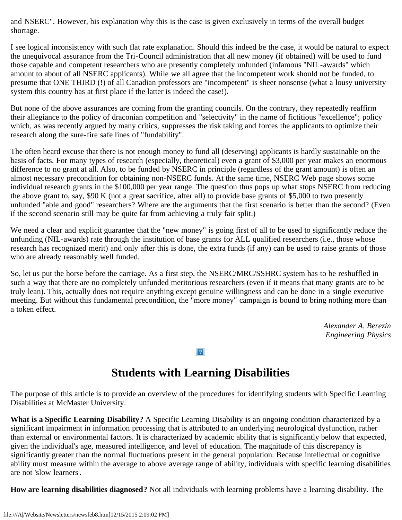and NSERC". However, his explanation why this is the case is given exclusively in terms of the overall budget shortage.

I see logical inconsistency with such flat rate explanation. Should this indeed be the case, it would be natural to expect the unequivocal assurance from the Tri-Council administration that all new money (if obtained) will be used to fund those capable and competent researchers who are presently completely unfunded (infamous "NIL-awards" which amount to about of all NSERC applicants). While we all agree that the incompetent work should not be funded, to presume that ONE THIRD (!) of all Canadian professors are "incompetent" is sheer nonsense (what a lousy university system this country has at first place if the latter is indeed the case!).

But none of the above assurances are coming from the granting councils. On the contrary, they repeatedly reaffirm their allegiance to the policy of draconian competition and "selectivity" in the name of fictitious "excellence"; policy which, as was recently argued by many critics, suppresses the risk taking and forces the applicants to optimize their research along the sure-fire safe lines of "fundability".

The often heard excuse that there is not enough money to fund all (deserving) applicants is hardly sustainable on the basis of facts. For many types of research (especially, theoretical) even a grant of \$3,000 per year makes an enormous difference to no grant at all. Also, to be funded by NSERC in principle (regardless of the grant amount) is often an almost necessary precondition for obtaining non-NSERC funds. At the same time, NSERC Web page shows some individual research grants in the \$100,000 per year range. The question thus pops up what stops NSERC from reducing the above grant to, say, \$90 K (not a great sacrifice, after all) to provide base grants of \$5,000 to two presently unfunded "able and good" researchers? Where are the arguments that the first scenario is better than the second? (Even if the second scenario still may be quite far from achieving a truly fair split.)

We need a clear and explicit guarantee that the "new money" is going first of all to be used to significantly reduce the unfunding (NIL-awards) rate through the institution of base grants for ALL qualified researchers (i.e., those whose research has recognized merit) and only after this is done, the extra funds (if any) can be used to raise grants of those who are already reasonably well funded.

So, let us put the horse before the carriage. As a first step, the NSERC/MRC/SSHRC system has to be reshuffled in such a way that there are no completely unfunded meritorious researchers (even if it means that many grants are to be truly lean). This, actually does not require anything except genuine willingness and can be done in a single executive meeting. But without this fundamental precondition, the "more money" campaign is bound to bring nothing more than a token effect.

> *Alexander A. Berezin Engineering Physics*

#### $|2|$

# **Students with Learning Disabilities**

The purpose of this article is to provide an overview of the procedures for identifying students with Specific Learning Disabilities at McMaster University.

**What is a Specific Learning Disability?** A Specific Learning Disability is an ongoing condition characterized by a significant impairment in information processing that is attributed to an underlying neurological dysfunction, rather than external or environmental factors. It is characterized by academic ability that is significantly below that expected, given the individual's age, measured intelligence, and level of education. The magnitude of this discrepancy is significantly greater than the normal fluctuations present in the general population. Because intellectual or cognitive ability must measure within the average to above average range of ability, individuals with specific learning disabilities are not 'slow learners'.

**How are learning disabilities diagnosed?** Not all individuals with learning problems have a learning disability. The